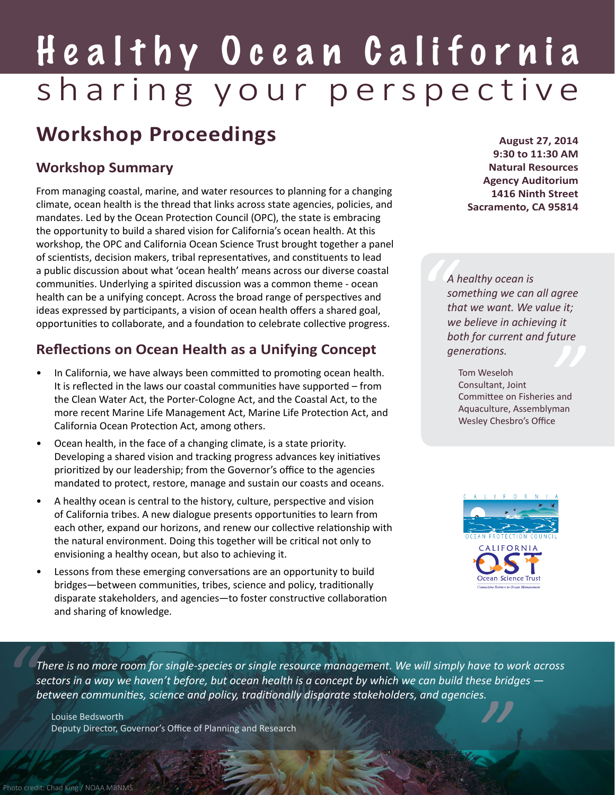# Healthy Ocean California sharing your perspective

# **Workshop Proceedings**

### **Workshop Summary**

From managing coastal, marine, and water resources to planning for a changing climate, ocean health is the thread that links across state agencies, policies, and mandates. Led by the Ocean Protection Council (OPC), the state is embracing the opportunity to build a shared vision for California's ocean health. At this workshop, the OPC and California Ocean Science Trust brought together a panel of scientists, decision makers, tribal representatives, and constituents to lead a public discussion about what 'ocean health' means across our diverse coastal communities. Underlying a spirited discussion was a common theme - ocean health can be a unifying concept. Across the broad range of perspectives and ideas expressed by participants, a vision of ocean health offers a shared goal, opportunities to collaborate, and a foundation to celebrate collective progress.

### **Reflections on Ocean Health as a Unifying Concept**

- In California, we have always been committed to promoting ocean health. It is reflected in the laws our coastal communities have supported – from the Clean Water Act, the Porter-Cologne Act, and the Coastal Act, to the more recent Marine Life Management Act, Marine Life Protection Act, and California Ocean Protection Act, among others.
- Ocean health, in the face of a changing climate, is a state priority. Developing a shared vision and tracking progress advances key initiatives prioritized by our leadership; from the Governor's office to the agencies mandated to protect, restore, manage and sustain our coasts and oceans.
- A healthy ocean is central to the history, culture, perspective and vision of California tribes. A new dialogue presents opportunities to learn from each other, expand our horizons, and renew our collective relationship with the natural environment. Doing this together will be critical not only to envisioning a healthy ocean, but also to achieving it.
- Lessons from these emerging conversations are an opportunity to build bridges—between communities, tribes, science and policy, traditionally disparate stakeholders, and agencies—to foster constructive collaboration and sharing of knowledge.

**August 27, 2014 9:30 to 11:30 AM Natural Resources Agency Auditorium 1416 Ninth Street Sacramento, CA 95814**

*" A healthy ocean is something we can all agree that we want. We value it; we believe in achieving it both for current and future generations.*

*uture*<br>ss and<br>*y*man Tom Weseloh Consultant, Joint Committee on Fisheries and Aquaculture, Assemblyman Wesley Chesbro's Office



*" " There is no more room for single-species or single resource management. We will simply have to work across sectors in a way we haven't before, but ocean health is a concept by which we can build these bridges between communities, science and policy, traditionally disparate stakeholders, and agencies.*

Louise Bedsworth Deputy Director, Governor's Office of Planning and Research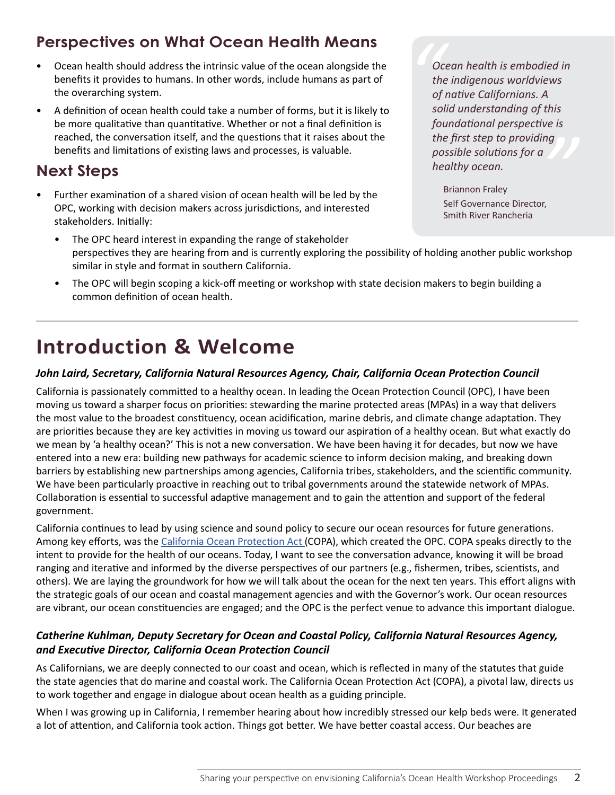### **Perspectives on What Ocean Health Means**

- Ocean health should address the intrinsic value of the ocean alongside the benefits it provides to humans. In other words, include humans as part of the overarching system.
- A definition of ocean health could take a number of forms, but it is likely to be more qualitative than quantitative. Whether or not a final definition is reached, the conversation itself, and the questions that it raises about the benefits and limitations of existing laws and processes, is valuable.

### **Next Steps**

- Further examination of a shared vision of ocean health will be led by the OPC, working with decision makers across jurisdictions, and interested stakeholders. Initially:
	- The OPC heard interest in expanding the range of stakeholder perspectives they are hearing from and is currently exploring the possibility of holding another public workshop similar in style and format in southern California.
	- The OPC will begin scoping a kick-off meeting or workshop with state decision makers to begin building a common definition of ocean health.

## **Introduction & Welcome**

#### *John Laird, Secretary, California Natural Resources Agency, Chair, California Ocean Protection Council*

California is passionately committed to a healthy ocean. In leading the Ocean Protection Council (OPC), I have been moving us toward a sharper focus on priorities: stewarding the marine protected areas (MPAs) in a way that delivers the most value to the broadest constituency, ocean acidification, marine debris, and climate change adaptation. They are priorities because they are key activities in moving us toward our aspiration of a healthy ocean. But what exactly do we mean by 'a healthy ocean?' This is not a new conversation. We have been having it for decades, but now we have entered into a new era: building new pathways for academic science to inform decision making, and breaking down barriers by establishing new partnerships among agencies, California tribes, stakeholders, and the scientific community. We have been particularly proactive in reaching out to tribal governments around the statewide network of MPAs. Collaboration is essential to successful adaptive management and to gain the attention and support of the federal government.

California continues to lead by using science and sound policy to secure our ocean resources for future generations. Among key efforts, was the [California Ocean Protection Act](http://www.opc.ca.gov/california-ocean-protection-act/) (COPA), which created the OPC. COPA speaks directly to the intent to provide for the health of our oceans. Today, I want to see the conversation advance, knowing it will be broad ranging and iterative and informed by the diverse perspectives of our partners (e.g., fishermen, tribes, scientists, and others). We are laying the groundwork for how we will talk about the ocean for the next ten years. This effort aligns with the strategic goals of our ocean and coastal management agencies and with the Governor's work. Our ocean resources are vibrant, our ocean constituencies are engaged; and the OPC is the perfect venue to advance this important dialogue.

#### *Catherine Kuhlman, Deputy Secretary for Ocean and Coastal Policy, California Natural Resources Agency, and Executive Director, California Ocean Protection Council*

As Californians, we are deeply connected to our coast and ocean, which is reflected in many of the statutes that guide the state agencies that do marine and coastal work. The California Ocean Protection Act (COPA), a pivotal law, directs us to work together and engage in dialogue about ocean health as a guiding principle.

When I was growing up in California, I remember hearing about how incredibly stressed our kelp beds were. It generated a lot of attention, and California took action. Things got better. We have better coastal access. Our beaches are

*ng*<br>'<br>r, *oth*<br> *th*<br> *of*<br> *so Ocean health is embodied in the indigenous worldviews of native Californians. A solid understanding of this foundational perspective is the first step to providing possible solutions for a healthy ocean.* 

Briannon Fraley Self Governance Director, Smith River Rancheria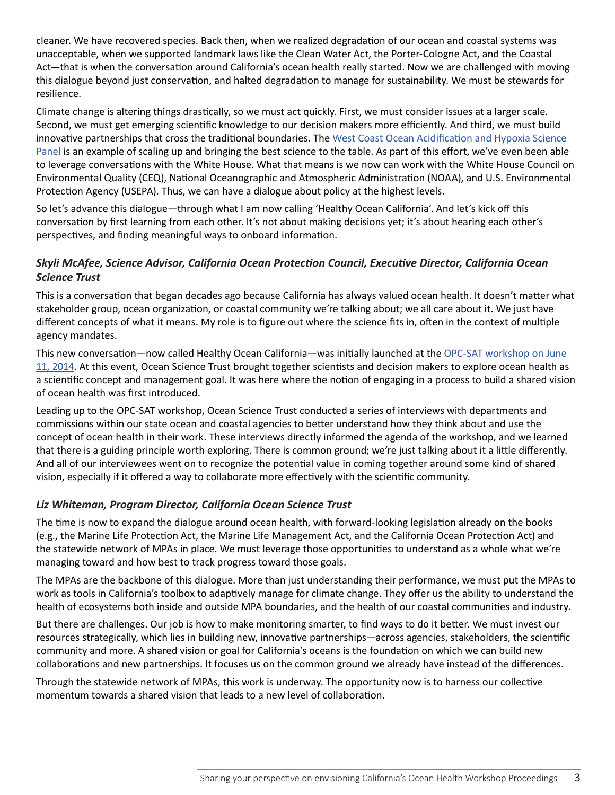cleaner. We have recovered species. Back then, when we realized degradation of our ocean and coastal systems was unacceptable, when we supported landmark laws like the Clean Water Act, the Porter-Cologne Act, and the Coastal Act—that is when the conversation around California's ocean health really started. Now we are challenged with moving this dialogue beyond just conservation, and halted degradation to manage for sustainability. We must be stewards for resilience.

Climate change is altering things drastically, so we must act quickly. First, we must consider issues at a larger scale. Second, we must get emerging scientific knowledge to our decision makers more efficiently. And third, we must build innovative partnerships that cross the traditional boundaries. The West Coast Ocean Acidification and Hypoxia Science [Panel](http://westcoastoah.org/) is an example of scaling up and bringing the best science to the table. As part of this effort, we've even been able to leverage conversations with the White House. What that means is we now can work with the White House Council on Environmental Quality (CEQ), National Oceanographic and Atmospheric Administration (NOAA), and U.S. Environmental Protection Agency (USEPA). Thus, we can have a dialogue about policy at the highest levels.

So let's advance this dialogue—through what I am now calling 'Healthy Ocean California'. And let's kick off this conversation by first learning from each other. It's not about making decisions yet; it's about hearing each other's perspectives, and finding meaningful ways to onboard information.

#### *Skyli McAfee, Science Advisor, California Ocean Protection Council, Executive Director, California Ocean Science Trust*

This is a conversation that began decades ago because California has always valued ocean health. It doesn't matter what stakeholder group, ocean organization, or coastal community we're talking about; we all care about it. We just have different concepts of what it means. My role is to figure out where the science fits in, often in the context of multiple agency mandates.

This new conversation—now called Healthy Ocean California—was initially launched at the OPC-SAT workshop on June [11, 2014](http://calost.org/pdf/science-advising/opcsat/OPC-SAT FULL Workshop Proceedings 6.11.14.pdf). At this event, Ocean Science Trust brought together scientists and decision makers to explore ocean health as a scientific concept and management goal. It was here where the notion of engaging in a process to build a shared vision of ocean health was first introduced.

Leading up to the OPC-SAT workshop, Ocean Science Trust conducted a series of interviews with departments and commissions within our state ocean and coastal agencies to better understand how they think about and use the concept of ocean health in their work. These interviews directly informed the agenda of the workshop, and we learned that there is a guiding principle worth exploring. There is common ground; we're just talking about it a little differently. And all of our interviewees went on to recognize the potential value in coming together around some kind of shared vision, especially if it offered a way to collaborate more effectively with the scientific community.

#### *Liz Whiteman, Program Director, California Ocean Science Trust*

The time is now to expand the dialogue around ocean health, with forward-looking legislation already on the books (e.g., the Marine Life Protection Act, the Marine Life Management Act, and the California Ocean Protection Act) and the statewide network of MPAs in place. We must leverage those opportunities to understand as a whole what we're managing toward and how best to track progress toward those goals.

The MPAs are the backbone of this dialogue. More than just understanding their performance, we must put the MPAs to work as tools in California's toolbox to adaptively manage for climate change. They offer us the ability to understand the health of ecosystems both inside and outside MPA boundaries, and the health of our coastal communities and industry.

But there are challenges. Our job is how to make monitoring smarter, to find ways to do it better. We must invest our resources strategically, which lies in building new, innovative partnerships—across agencies, stakeholders, the scientific community and more. A shared vision or goal for California's oceans is the foundation on which we can build new collaborations and new partnerships. It focuses us on the common ground we already have instead of the differences.

Through the statewide network of MPAs, this work is underway. The opportunity now is to harness our collective momentum towards a shared vision that leads to a new level of collaboration.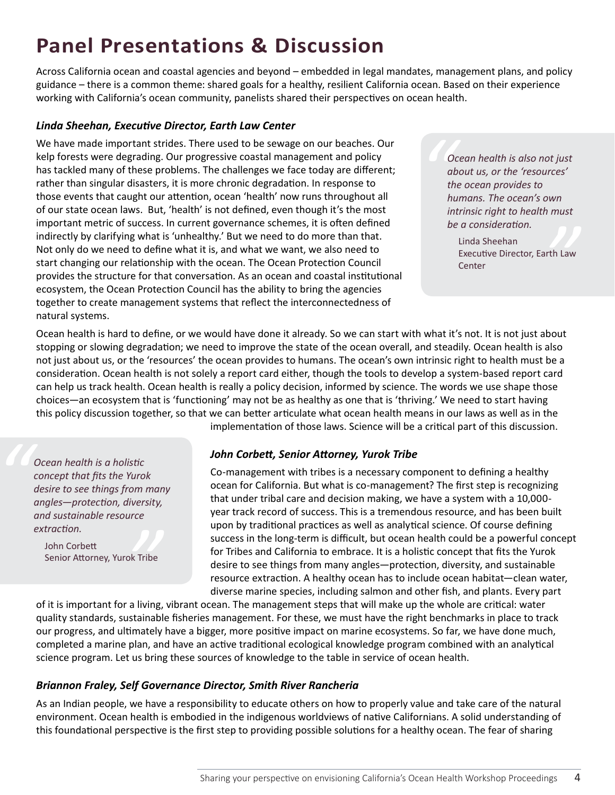# **Panel Presentations & Discussion**

Across California ocean and coastal agencies and beyond – embedded in legal mandates, management plans, and policy guidance – there is a common theme: shared goals for a healthy, resilient California ocean. Based on their experience working with California's ocean community, panelists shared their perspectives on ocean health.

#### *Linda Sheehan, Executive Director, Earth Law Center*

We have made important strides. There used to be sewage on our beaches. Our kelp forests were degrading. Our progressive coastal management and policy has tackled many of these problems. The challenges we face today are different; rather than singular disasters, it is more chronic degradation. In response to those events that caught our attention, ocean 'health' now runs throughout all of our state ocean laws. But, 'health' is not defined, even though it's the most important metric of success. In current governance schemes, it is often defined indirectly by clarifying what is 'unhealthy.' But we need to do more than that. Not only do we need to define what it is, and what we want, we also need to start changing our relationship with the ocean. The Ocean Protection Council provides the structure for that conversation. As an ocean and coastal institutional ecosystem, the Ocean Protection Council has the ability to bring the agencies together to create management systems that reflect the interconnectedness of natural systems.

*o*<br>*alt*<br>*th*<br>*hu*<br>*in Ocean health is also not just about us, or the 'resources' the ocean provides to humans. The ocean's own intrinsic right to health must be a consideration.*

*"* Linda Sheehan Executive Director, Earth Law **Center** 

Ocean health is hard to define, or we would have done it already. So we can start with what it's not. It is not just about stopping or slowing degradation; we need to improve the state of the ocean overall, and steadily. Ocean health is also not just about us, or the 'resources' the ocean provides to humans. The ocean's own intrinsic right to health must be a consideration. Ocean health is not solely a report card either, though the tools to develop a system-based report card can help us track health. Ocean health is really a policy decision, informed by science. The words we use shape those choices—an ecosystem that is 'functioning' may not be as healthy as one that is 'thriving.' We need to start having this policy discussion together, so that we can better articulate what ocean health means in our laws as well as in the implementation of those laws. Science will be a critical part of this discussion.

**Cocean health is a holistic<br>
concept that fits the Yuro.<br>
desire to see things from angles—protection, diverse<br>
and sustainable resource** *concept that fits the Yurok desire to see things from many angles—protection, diversity, and sustainable resource extraction.*

**Example 1**<br>
Bridge<br>
Bridge<br>
Bridge<br>
Bridge<br>
Bridge<br>
Bridge<br>
Bridge<br>
Bridge<br>
Bridge<br>
Bridge<br>
Bridge<br>
Bridge<br>
Bridge<br>
Bridge<br>
Bridge<br>
Bridge<br>
Bridge<br>
Bridge<br>
Bridge<br>
Bridge<br>
Bridge<br>
Bridge<br>
Bridge<br>
Bridge<br>
Bridge<br>
Bridge<br>
B John Corbett Senior Attorney, Yurok Tribe

#### *John Corbett, Senior Attorney, Yurok Tribe*

Co-management with tribes is a necessary component to defining a healthy ocean for California. But what is co-management? The first step is recognizing that under tribal care and decision making, we have a system with a 10,000 year track record of success. This is a tremendous resource, and has been built upon by traditional practices as well as analytical science. Of course defining success in the long-term is difficult, but ocean health could be a powerful concept for Tribes and California to embrace. It is a holistic concept that fits the Yurok desire to see things from many angles—protection, diversity, and sustainable resource extraction. A healthy ocean has to include ocean habitat—clean water, diverse marine species, including salmon and other fish, and plants. Every part

of it is important for a living, vibrant ocean. The management steps that will make up the whole are critical: water quality standards, sustainable fisheries management. For these, we must have the right benchmarks in place to track our progress, and ultimately have a bigger, more positive impact on marine ecosystems. So far, we have done much, completed a marine plan, and have an active traditional ecological knowledge program combined with an analytical science program. Let us bring these sources of knowledge to the table in service of ocean health.

#### *Briannon Fraley, Self Governance Director, Smith River Rancheria*

As an Indian people, we have a responsibility to educate others on how to properly value and take care of the natural environment. Ocean health is embodied in the indigenous worldviews of native Californians. A solid understanding of this foundational perspective is the first step to providing possible solutions for a healthy ocean. The fear of sharing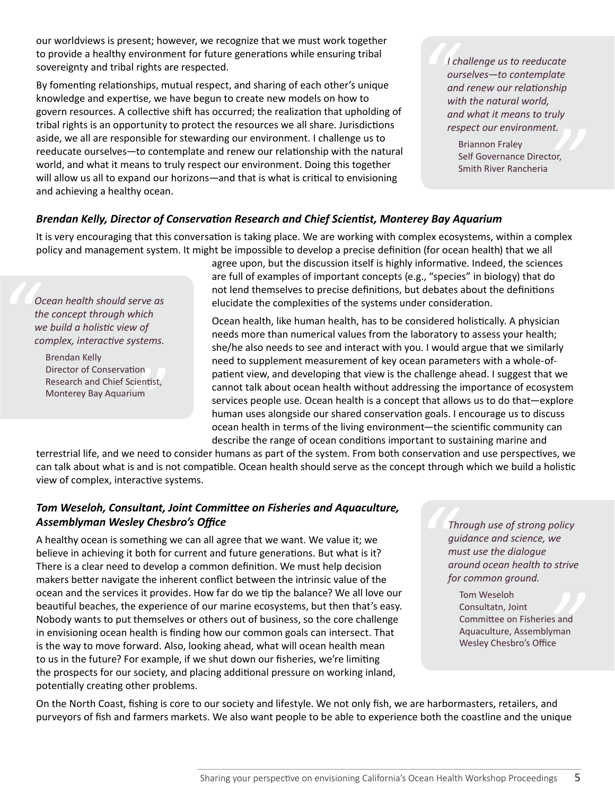our worldviews is present; however, we recognize that we must work together to provide a healthy environment for future generations while ensuring tribal sovereignty and tribal rights are respected.

By fomenting relationships, mutual respect, and sharing of each other's unique knowledge and expertise, we have begun to create new models on how to govern resources. A collective shift has occurred; the realization that upholding of tribal rights is an opportunity to protect the resources we all share. Jurisdictions aside, we all are responsible for stewarding our environment. I challenge us to reeducate ourselves—to contemplate and renew our relationship with the natural world, and what it means to truly respect our environment. Doing this together will allow us all to expand our horizons—and that is what is critical to envisioning and achieving a healthy ocean.

*" I challenge us to reeducate ourselves—to contemplate and renew our relationship with the natural world, and what it means to truly respect our environment.*

nt.<br>tor, Briannon Fraley Self Governance Director, Smith River Rancheria

#### *Brendan Kelly, Director of Conservation Research and Chief Scientist, Monterey Bay Aquarium*

It is very encouraging that this conversation is taking place. We are working with complex ecosystems, within a complex policy and management system. It might be impossible to develop a precise definition (for ocean health) that we all

*" Ocean health should serve as the concept through which we build a holistic view of complex, interactive systems.*

tion<br>icientist,<br><sup>:</sup>ium<br> Brendan Kelly Director of Conservation Research and Chief Scientist, Monterey Bay Aquarium

agree upon, but the discussion itself is highly informative. Indeed, the sciences are full of examples of important concepts (e.g., "species" in biology) that do not lend themselves to precise definitions, but debates about the definitions elucidate the complexities of the systems under consideration.

Ocean health, like human health, has to be considered holistically. A physician needs more than numerical values from the laboratory to assess your health; she/he also needs to see and interact with you. I would argue that we similarly need to supplement measurement of key ocean parameters with a whole-ofpatient view, and developing that view is the challenge ahead. I suggest that we cannot talk about ocean health without addressing the importance of ecosystem services people use. Ocean health is a concept that allows us to do that—explore human uses alongside our shared conservation goals. I encourage us to discuss ocean health in terms of the living environment—the scientific community can describe the range of ocean conditions important to sustaining marine and

terrestrial life, and we need to consider humans as part of the system. From both conservation and use perspectives, we can talk about what is and is not compatible. Ocean health should serve as the concept through which we build a holistic view of complex, interactive systems.

#### *Tom Weseloh, Consultant, Joint Committee on Fisheries and Aquaculture, Assemblyman Wesley Chesbro's Office*

A healthy ocean is something we can all agree that we want. We value it; we believe in achieving it both for current and future generations. But what is it? There is a clear need to develop a common definition. We must help decision makers better navigate the inherent conflict between the intrinsic value of the ocean and the services it provides. How far do we tip the balance? We all love our beautiful beaches, the experience of our marine ecosystems, but then that's easy. Nobody wants to put themselves or others out of business, so the core challenge in envisioning ocean health is finding how our common goals can intersect. That is the way to move forward. Also, looking ahead, what will ocean health mean to us in the future? For example, if we shut down our fisheries, we're limiting the prospects for our society, and placing additional pressure on working inland, potentially creating other problems.

**1**<br>*g*<br>*m*<br>*a*<br>*f Through use of strong policy guidance and science, we must use the dialogue around ocean health to strive for common ground.* 

> es and<br>yman<br>ce Tom Weseloh Consultatn, Joint Committee on Fisheries and Aquaculture, Assemblyman Wesley Chesbro's Office

On the North Coast, fishing is core to our society and lifestyle. We not only fish, we are harbormasters, retailers, and purveyors of fish and farmers markets. We also want people to be able to experience both the coastline and the unique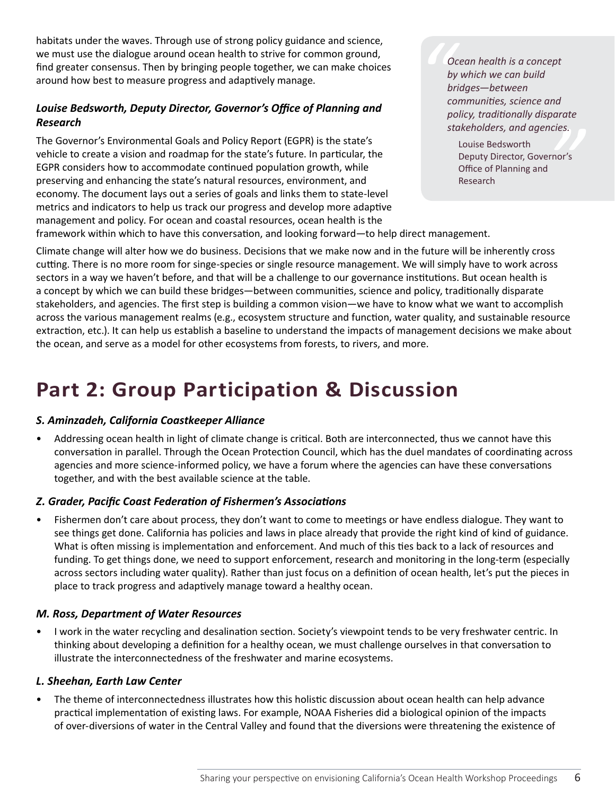habitats under the waves. Through use of strong policy guidance and science, we must use the dialogue around ocean health to strive for common ground, find greater consensus. Then by bringing people together, we can make choices around how best to measure progress and adaptively manage.

#### *Louise Bedsworth, Deputy Director, Governor's Office of Planning and Research*

The Governor's Environmental Goals and Policy Report (EGPR) is the state's vehicle to create a vision and roadmap for the state's future. In particular, the EGPR considers how to accommodate continued population growth, while preserving and enhancing the state's natural resources, environment, and economy. The document lays out a series of goals and links them to state-level metrics and indicators to help us track our progress and develop more adaptive management and policy. For ocean and coastal resources, ocean health is the

*m b*<sub>1</sub><br>*b*<sub>1</sub><br>*cc*<br>*p*<sub>1</sub> *Ocean health is a concept by which we can build bridges—between communities, science and policy, traditionally disparate stakeholders, and agencies.*

*ncies.*<br>"<br>"<br>" Louise Bedsworth Deputy Director, Governor's Office of Planning and Research

framework within which to have this conversation, and looking forward—to help direct management.

Climate change will alter how we do business. Decisions that we make now and in the future will be inherently cross cutting. There is no more room for singe-species or single resource management. We will simply have to work across sectors in a way we haven't before, and that will be a challenge to our governance institutions. But ocean health is a concept by which we can build these bridges—between communities, science and policy, traditionally disparate stakeholders, and agencies. The first step is building a common vision—we have to know what we want to accomplish across the various management realms (e.g., ecosystem structure and function, water quality, and sustainable resource extraction, etc.). It can help us establish a baseline to understand the impacts of management decisions we make about the ocean, and serve as a model for other ecosystems from forests, to rivers, and more.

### **Part 2: Group Participation & Discussion**

#### *S. Aminzadeh, California Coastkeeper Alliance*

• Addressing ocean health in light of climate change is critical. Both are interconnected, thus we cannot have this conversation in parallel. Through the Ocean Protection Council, which has the duel mandates of coordinating across agencies and more science-informed policy, we have a forum where the agencies can have these conversations together, and with the best available science at the table.

#### *Z. Grader, Pacific Coast Federation of Fishermen's Associations*

• Fishermen don't care about process, they don't want to come to meetings or have endless dialogue. They want to see things get done. California has policies and laws in place already that provide the right kind of kind of guidance. What is often missing is implementation and enforcement. And much of this ties back to a lack of resources and funding. To get things done, we need to support enforcement, research and monitoring in the long-term (especially across sectors including water quality). Rather than just focus on a definition of ocean health, let's put the pieces in place to track progress and adaptively manage toward a healthy ocean.

#### *M. Ross, Department of Water Resources*

• I work in the water recycling and desalination section. Society's viewpoint tends to be very freshwater centric. In thinking about developing a definition for a healthy ocean, we must challenge ourselves in that conversation to illustrate the interconnectedness of the freshwater and marine ecosystems.

#### *L. Sheehan, Earth Law Center*

• The theme of interconnectedness illustrates how this holistic discussion about ocean health can help advance practical implementation of existing laws. For example, NOAA Fisheries did a biological opinion of the impacts of over-diversions of water in the Central Valley and found that the diversions were threatening the existence of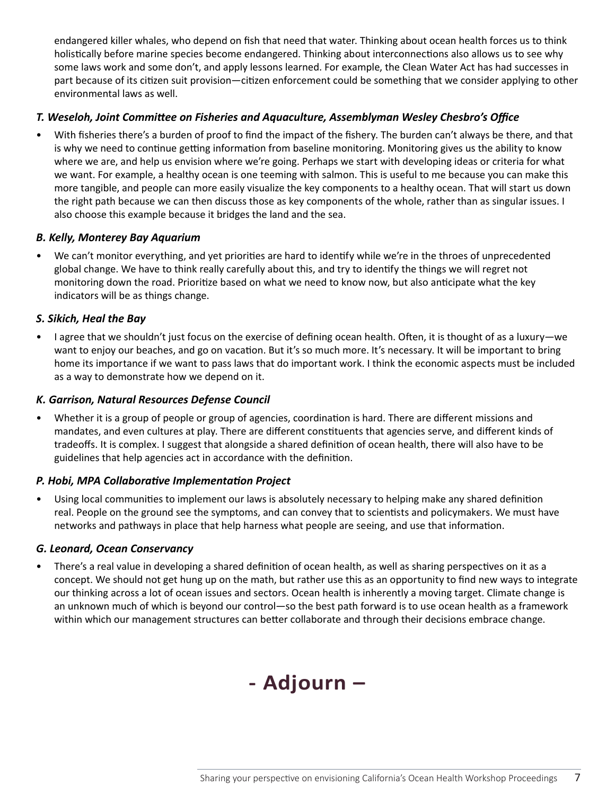endangered killer whales, who depend on fish that need that water. Thinking about ocean health forces us to think holistically before marine species become endangered. Thinking about interconnections also allows us to see why some laws work and some don't, and apply lessons learned. For example, the Clean Water Act has had successes in part because of its citizen suit provision—citizen enforcement could be something that we consider applying to other environmental laws as well.

#### *T. Weseloh, Joint Committee on Fisheries and Aquaculture, Assemblyman Wesley Chesbro's Office*

• With fisheries there's a burden of proof to find the impact of the fishery. The burden can't always be there, and that is why we need to continue getting information from baseline monitoring. Monitoring gives us the ability to know where we are, and help us envision where we're going. Perhaps we start with developing ideas or criteria for what we want. For example, a healthy ocean is one teeming with salmon. This is useful to me because you can make this more tangible, and people can more easily visualize the key components to a healthy ocean. That will start us down the right path because we can then discuss those as key components of the whole, rather than as singular issues. I also choose this example because it bridges the land and the sea.

#### *B. Kelly, Monterey Bay Aquarium*

• We can't monitor everything, and yet priorities are hard to identify while we're in the throes of unprecedented global change. We have to think really carefully about this, and try to identify the things we will regret not monitoring down the road. Prioritize based on what we need to know now, but also anticipate what the key indicators will be as things change.

#### *S. Sikich, Heal the Bay*

• I agree that we shouldn't just focus on the exercise of defining ocean health. Often, it is thought of as a luxury—we want to enjoy our beaches, and go on vacation. But it's so much more. It's necessary. It will be important to bring home its importance if we want to pass laws that do important work. I think the economic aspects must be included as a way to demonstrate how we depend on it.

#### *K. Garrison, Natural Resources Defense Council*

• Whether it is a group of people or group of agencies, coordination is hard. There are different missions and mandates, and even cultures at play. There are different constituents that agencies serve, and different kinds of tradeoffs. It is complex. I suggest that alongside a shared definition of ocean health, there will also have to be guidelines that help agencies act in accordance with the definition.

#### *P. Hobi, MPA Collaborative Implementation Project*

• Using local communities to implement our laws is absolutely necessary to helping make any shared definition real. People on the ground see the symptoms, and can convey that to scientists and policymakers. We must have networks and pathways in place that help harness what people are seeing, and use that information.

#### *G. Leonard, Ocean Conservancy*

• There's a real value in developing a shared definition of ocean health, as well as sharing perspectives on it as a concept. We should not get hung up on the math, but rather use this as an opportunity to find new ways to integrate our thinking across a lot of ocean issues and sectors. Ocean health is inherently a moving target. Climate change is an unknown much of which is beyond our control—so the best path forward is to use ocean health as a framework within which our management structures can better collaborate and through their decisions embrace change.